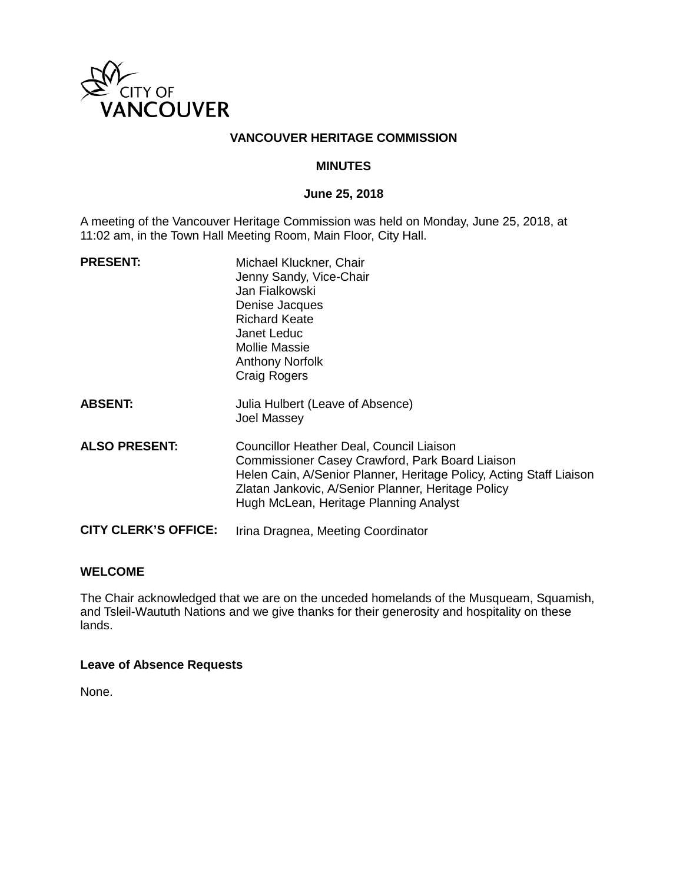

#### **VANCOUVER HERITAGE COMMISSION**

#### **MINUTES**

#### **June 25, 2018**

A meeting of the Vancouver Heritage Commission was held on Monday, June 25, 2018, at 11:02 am, in the Town Hall Meeting Room, Main Floor, City Hall.

| <b>PRESENT:</b>             | Michael Kluckner, Chair<br>Jenny Sandy, Vice-Chair<br>Jan Fialkowski<br>Denise Jacques<br><b>Richard Keate</b><br>Janet Leduc<br><b>Mollie Massie</b><br><b>Anthony Norfolk</b><br><b>Craig Rogers</b>                                                             |
|-----------------------------|--------------------------------------------------------------------------------------------------------------------------------------------------------------------------------------------------------------------------------------------------------------------|
| <b>ABSENT:</b>              | Julia Hulbert (Leave of Absence)<br>Joel Massey                                                                                                                                                                                                                    |
| <b>ALSO PRESENT:</b>        | Councillor Heather Deal, Council Liaison<br>Commissioner Casey Crawford, Park Board Liaison<br>Helen Cain, A/Senior Planner, Heritage Policy, Acting Staff Liaison<br>Zlatan Jankovic, A/Senior Planner, Heritage Policy<br>Hugh McLean, Heritage Planning Analyst |
| <b>CITY CLERK'S OFFICE:</b> | Irina Dragnea, Meeting Coordinator                                                                                                                                                                                                                                 |

#### **WELCOME**

The Chair acknowledged that we are on the unceded homelands of the Musqueam, Squamish, and Tsleil-Waututh Nations and we give thanks for their generosity and hospitality on these lands.

#### **Leave of Absence Requests**

None.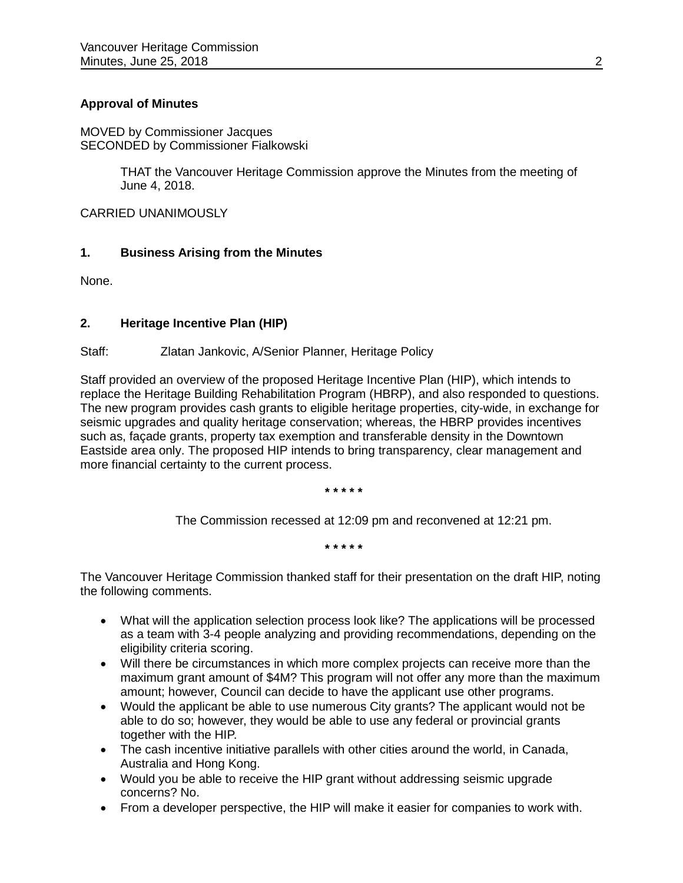# **Approval of Minutes**

MOVED by Commissioner Jacques SECONDED by Commissioner Fialkowski

> THAT the Vancouver Heritage Commission approve the Minutes from the meeting of June 4, 2018.

CARRIED UNANIMOUSLY

## **1. Business Arising from the Minutes**

None.

## **2. Heritage Incentive Plan (HIP)**

Staff: Zlatan Jankovic, A/Senior Planner, Heritage Policy

Staff provided an overview of the proposed Heritage Incentive Plan (HIP), which intends to replace the Heritage Building Rehabilitation Program (HBRP), and also responded to questions. The new program provides cash grants to eligible heritage properties, city-wide, in exchange for seismic upgrades and quality heritage conservation; whereas, the HBRP provides incentives such as, façade grants, property tax exemption and transferable density in the Downtown Eastside area only. The proposed HIP intends to bring transparency, clear management and more financial certainty to the current process.

**\* \* \* \* \***

The Commission recessed at 12:09 pm and reconvened at 12:21 pm.

**\* \* \* \* \***

The Vancouver Heritage Commission thanked staff for their presentation on the draft HIP, noting the following comments.

- What will the application selection process look like? The applications will be processed as a team with 3-4 people analyzing and providing recommendations, depending on the eligibility criteria scoring.
- Will there be circumstances in which more complex projects can receive more than the maximum grant amount of \$4M? This program will not offer any more than the maximum amount; however, Council can decide to have the applicant use other programs.
- Would the applicant be able to use numerous City grants? The applicant would not be able to do so; however, they would be able to use any federal or provincial grants together with the HIP.
- The cash incentive initiative parallels with other cities around the world, in Canada, Australia and Hong Kong.
- Would you be able to receive the HIP grant without addressing seismic upgrade concerns? No.
- From a developer perspective, the HIP will make it easier for companies to work with.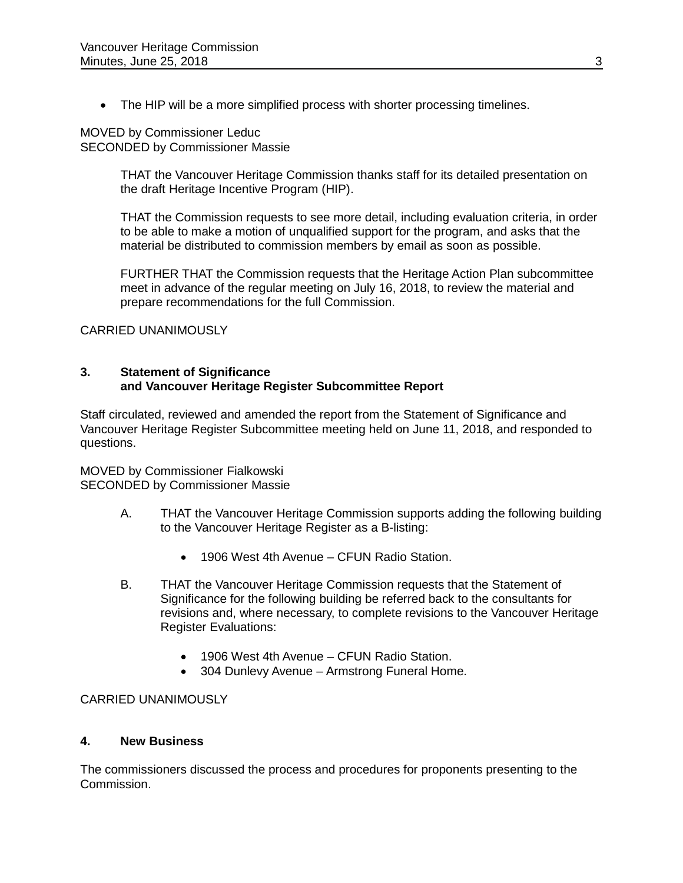• The HIP will be a more simplified process with shorter processing timelines.

#### MOVED by Commissioner Leduc SECONDED by Commissioner Massie

THAT the Vancouver Heritage Commission thanks staff for its detailed presentation on the draft Heritage Incentive Program (HIP).

THAT the Commission requests to see more detail, including evaluation criteria, in order to be able to make a motion of unqualified support for the program, and asks that the material be distributed to commission members by email as soon as possible.

FURTHER THAT the Commission requests that the Heritage Action Plan subcommittee meet in advance of the regular meeting on July 16, 2018, to review the material and prepare recommendations for the full Commission.

## CARRIED UNANIMOUSLY

# **3. Statement of Significance and Vancouver Heritage Register Subcommittee Report**

Staff circulated, reviewed and amended the report from the Statement of Significance and Vancouver Heritage Register Subcommittee meeting held on June 11, 2018, and responded to questions.

#### MOVED by Commissioner Fialkowski SECONDED by Commissioner Massie

- A. THAT the Vancouver Heritage Commission supports adding the following building to the Vancouver Heritage Register as a B-listing:
	- 1906 West 4th Avenue CFUN Radio Station.
- B. THAT the Vancouver Heritage Commission requests that the Statement of Significance for the following building be referred back to the consultants for revisions and, where necessary, to complete revisions to the Vancouver Heritage Register Evaluations:
	- 1906 West 4th Avenue CFUN Radio Station.
	- 304 Dunlevy Avenue Armstrong Funeral Home.

# CARRIED UNANIMOUSLY

## **4. New Business**

The commissioners discussed the process and procedures for proponents presenting to the Commission.